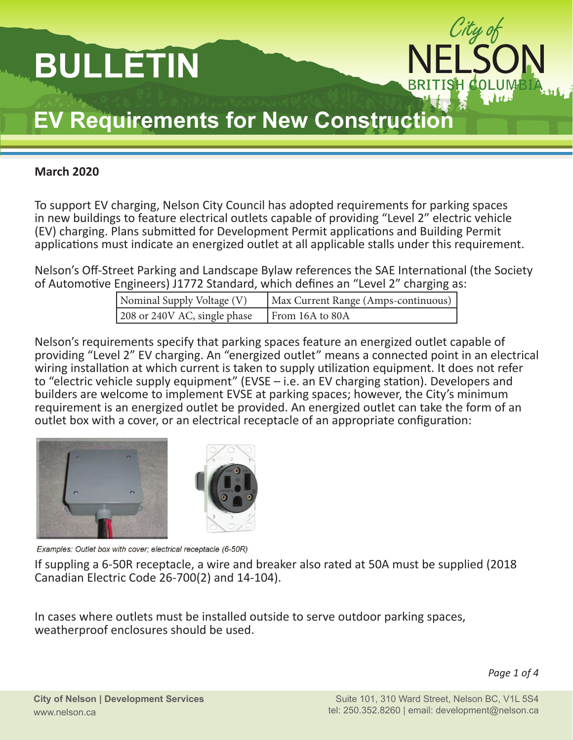# **BULLETIN**



# **EV Requirements for New Construction**

#### **March 2020**

To support EV charging, Nelson City Council has adopted requirements for parking spaces in new buildings to feature electrical outlets capable of providing "Level 2" electric vehicle (EV) charging. Plans submitted for Development Permit applications and Building Permit applications must indicate an energized outlet at all applicable stalls under this requirement.

Nelson's Off-Street Parking and Landscape Bylaw references the SAE International (the Society of Automotive Engineers) J1772 Standard, which defines an "Level 2" charging as:

| Nominal Supply Voltage (V)   | Max Current Range (Amps-continuous) |
|------------------------------|-------------------------------------|
| 208 or 240V AC, single phase | From 16A to 80A                     |

Nelson's requirements specify that parking spaces feature an energized outlet capable of providing "Level 2" EV charging. An "energized outlet" means a connected point in an electrical wiring installation at which current is taken to supply utilization equipment. It does not refer to "electric vehicle supply equipment" (EVSE – i.e. an EV charging station). Developers and builders are welcome to implement EVSE at parking spaces; however, the City's minimum requirement is an energized outlet be provided. An energized outlet can take the form of an outlet box with a cover, or an electrical receptacle of an appropriate configuration:





Examples: Outlet box with cover; electrical receptacle (6-50R)

If suppling a 6-50R receptacle, a wire and breaker also rated at 50A must be supplied (2018 Canadian Electric Code 26-700(2) and 14-104).

In cases where outlets must be installed outside to serve outdoor parking spaces, weatherproof enclosures should be used.

*Page 1 of 4*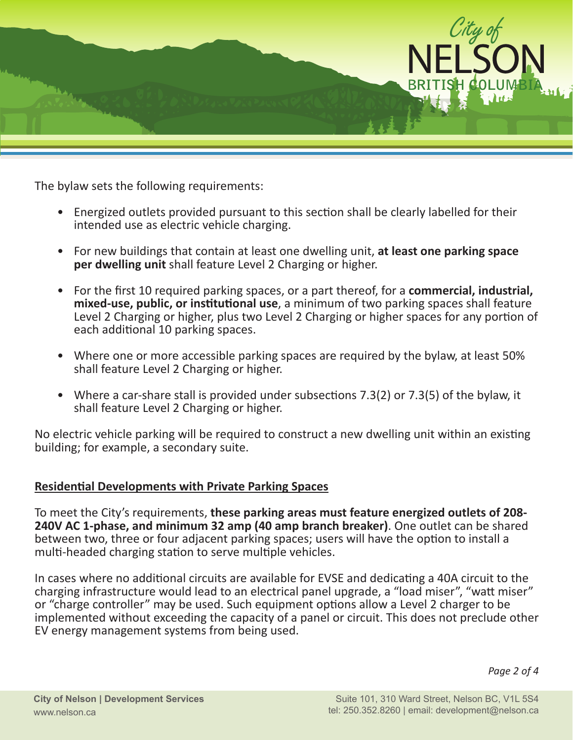

The bylaw sets the following requirements:

- Energized outlets provided pursuant to this section shall be clearly labelled for their intended use as electric vehicle charging.
- For new buildings that contain at least one dwelling unit, **at least one parking space per dwelling unit** shall feature Level 2 Charging or higher.
- For the first 10 required parking spaces, or a part thereof, for a **commercial, industrial, mixed-use, public, or institutional use**, a minimum of two parking spaces shall feature Level 2 Charging or higher, plus two Level 2 Charging or higher spaces for any portion of each additional 10 parking spaces.
- Where one or more accessible parking spaces are required by the bylaw, at least 50% shall feature Level 2 Charging or higher.
- Where a car-share stall is provided under subsections 7.3(2) or 7.3(5) of the bylaw, it shall feature Level 2 Charging or higher.

No electric vehicle parking will be required to construct a new dwelling unit within an existing building; for example, a secondary suite.

#### **Residential Developments with Private Parking Spaces**

To meet the City's requirements, **these parking areas must feature energized outlets of 208- 240V AC 1-phase, and minimum 32 amp (40 amp branch breaker)**. One outlet can be shared between two, three or four adjacent parking spaces; users will have the option to install a multi-headed charging station to serve multiple vehicles.

In cases where no additional circuits are available for EVSE and dedicating a 40A circuit to the charging infrastructure would lead to an electrical panel upgrade, a "load miser", "watt miser" or "charge controller" may be used. Such equipment options allow a Level 2 charger to be implemented without exceeding the capacity of a panel or circuit. This does not preclude other EV energy management systems from being used.

*Page 2 of 4*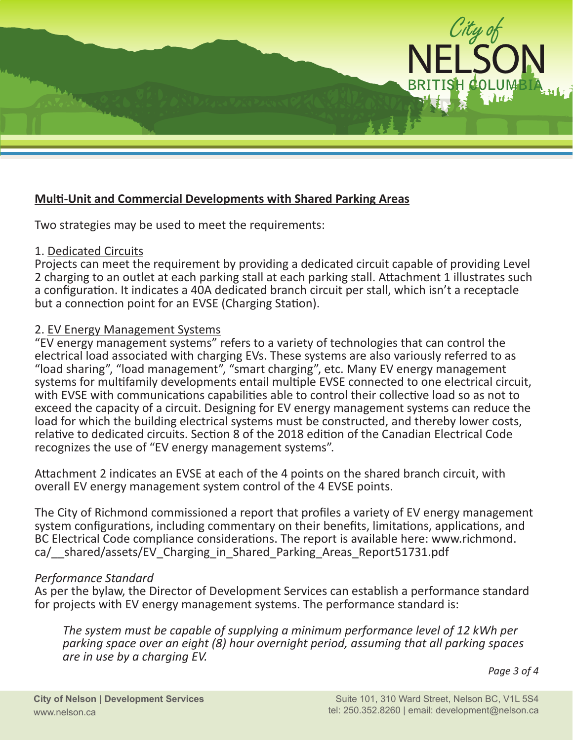

#### **Multi-Unit and Commercial Developments with Shared Parking Areas**

Two strategies may be used to meet the requirements:

#### 1. Dedicated Circuits

Projects can meet the requirement by providing a dedicated circuit capable of providing Level 2 charging to an outlet at each parking stall at each parking stall. Attachment 1 illustrates such a configuration. It indicates a 40A dedicated branch circuit per stall, which isn't a receptacle but a connection point for an EVSE (Charging Station).

#### 2. EV Energy Management Systems

"EV energy management systems" refers to a variety of technologies that can control the electrical load associated with charging EVs. These systems are also variously referred to as "load sharing", "load management", "smart charging", etc. Many EV energy management systems for multifamily developments entail multiple EVSE connected to one electrical circuit, with EVSE with communications capabilities able to control their collective load so as not to exceed the capacity of a circuit. Designing for EV energy management systems can reduce the load for which the building electrical systems must be constructed, and thereby lower costs, relative to dedicated circuits. Section 8 of the 2018 edition of the Canadian Electrical Code recognizes the use of "EV energy management systems".

Attachment 2 indicates an EVSE at each of the 4 points on the shared branch circuit, with overall EV energy management system control of the 4 EVSE points.

The City of Richmond commissioned a report that profiles a variety of EV energy management system configurations, including commentary on their benefits, limitations, applications, and BC Electrical Code compliance considerations. The report is available here: [www.richmond.](www.richmond.ca/__shared/assets/EV_Charging_in_Shared_Parking_Areas_Report51731.pdf) [ca/\\_\\_shared/assets/EV\\_Charging\\_in\\_Shared\\_Parking\\_Areas\\_Report51731.pdf](www.richmond.ca/__shared/assets/EV_Charging_in_Shared_Parking_Areas_Report51731.pdf) 

#### *Performance Standard*

As per the bylaw, the Director of Development Services can establish a performance standard for projects with EV energy management systems. The performance standard is:

*The system must be capable of supplying a minimum performance level of 12 kWh per parking space over an eight (8) hour overnight period, assuming that all parking spaces are in use by a charging EV.*

*Page 3 of 4*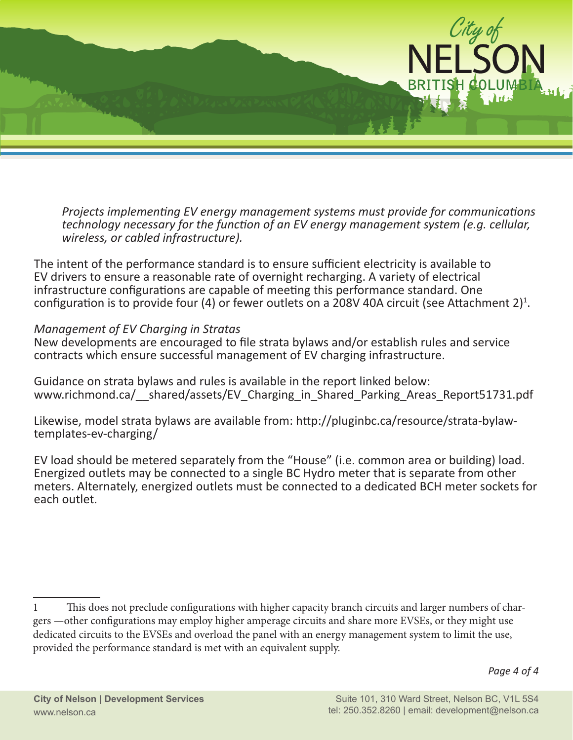

*Projects implementing EV energy management systems must provide for communications technology necessary for the function of an EV energy management system (e.g. cellular, wireless, or cabled infrastructure).*

The intent of the performance standard is to ensure sufficient electricity is available to EV drivers to ensure a reasonable rate of overnight recharging. A variety of electrical infrastructure configurations are capable of meeting this performance standard. One configuration is to provide four (4) or fewer outlets on a 208V 40A circuit (see Attachment 2)<sup>1</sup>.

#### *Management of EV Charging in Stratas*

New developments are encouraged to file strata bylaws and/or establish rules and service contracts which ensure successful management of EV charging infrastructure.

Guidance on strata bylaws and rules is available in the report linked below: www.richmond.ca/ shared/assets/EV Charging in Shared Parking Areas Report51731.pdf

Likewise, model strata bylaws are available from: [http://pluginbc.ca/resource/strata-bylaw](http://pluginbc.ca/resource/strata-bylaw-templates-ev-charging/)[templates-ev-charging/](http://pluginbc.ca/resource/strata-bylaw-templates-ev-charging/)

EV load should be metered separately from the "House" (i.e. common area or building) load. Energized outlets may be connected to a single BC Hydro meter that is separate from other meters. Alternately, energized outlets must be connected to a dedicated BCH meter sockets for each outlet.

<sup>1</sup> This does not preclude configurations with higher capacity branch circuits and larger numbers of chargers —other configurations may employ higher amperage circuits and share more EVSEs, or they might use dedicated circuits to the EVSEs and overload the panel with an energy management system to limit the use, provided the performance standard is met with an equivalent supply.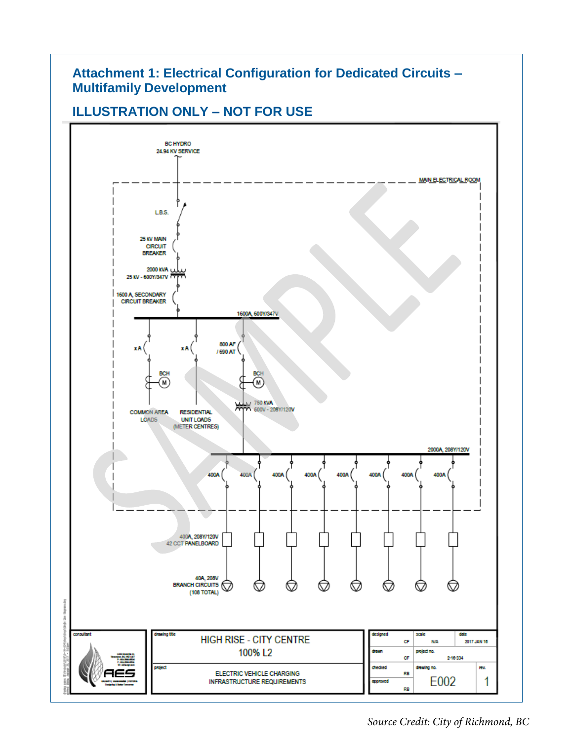# **Attachment 1: Electrical Configuration for Dedicated Circuits – Multifamily Development**